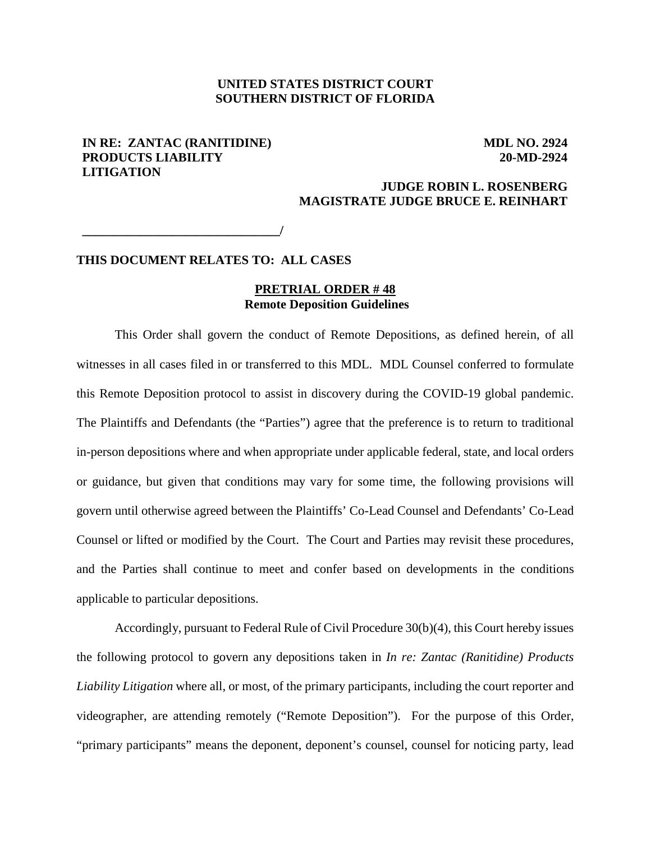# **UNITED STATES DISTRICT COURT SOUTHERN DISTRICT OF FLORIDA**

# **IN RE: ZANTAC (RANITIDINE) PRODUCTS LIABILITY LITIGATION**

 **MDL NO. 2924 20-MD-2924**

# **JUDGE ROBIN L. ROSENBERG MAGISTRATE JUDGE BRUCE E. REINHART**

**\_\_\_\_\_\_\_\_\_\_\_\_\_\_\_\_\_\_\_\_\_\_\_\_\_\_\_\_\_\_\_/**

# **THIS DOCUMENT RELATES TO: ALL CASES**

#### **PRETRIAL ORDER # 48 Remote Deposition Guidelines**

This Order shall govern the conduct of Remote Depositions, as defined herein, of all witnesses in all cases filed in or transferred to this MDL. MDL Counsel conferred to formulate this Remote Deposition protocol to assist in discovery during the COVID-19 global pandemic. The Plaintiffs and Defendants (the "Parties") agree that the preference is to return to traditional in-person depositions where and when appropriate under applicable federal, state, and local orders or guidance, but given that conditions may vary for some time, the following provisions will govern until otherwise agreed between the Plaintiffs' Co-Lead Counsel and Defendants' Co-Lead Counsel or lifted or modified by the Court. The Court and Parties may revisit these procedures, and the Parties shall continue to meet and confer based on developments in the conditions applicable to particular depositions.

Accordingly, pursuant to Federal Rule of Civil Procedure 30(b)(4), this Court hereby issues the following protocol to govern any depositions taken in *In re: Zantac (Ranitidine) Products Liability Litigation* where all, or most, of the primary participants, including the court reporter and videographer, are attending remotely ("Remote Deposition"). For the purpose of this Order, "primary participants" means the deponent, deponent's counsel, counsel for noticing party, lead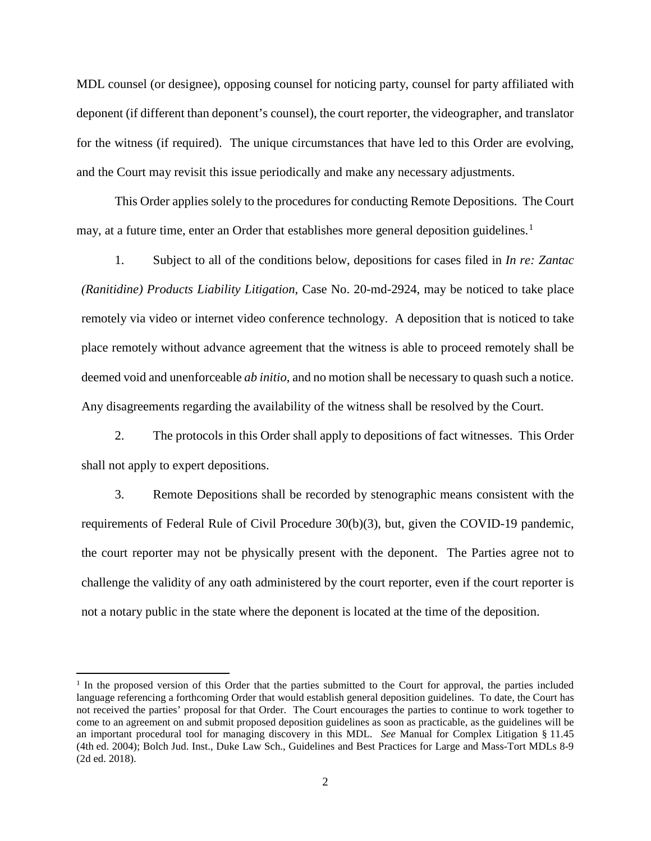MDL counsel (or designee), opposing counsel for noticing party, counsel for party affiliated with deponent (if different than deponent's counsel), the court reporter, the videographer, and translator for the witness (if required). The unique circumstances that have led to this Order are evolving, and the Court may revisit this issue periodically and make any necessary adjustments.

This Order applies solely to the procedures for conducting Remote Depositions. The Court may, at a future time, enter an Order that establishes more general deposition guidelines.<sup>[1](#page-1-0)</sup>

1. Subject to all of the conditions below, depositions for cases filed in *In re: Zantac (Ranitidine) Products Liability Litigation*, Case No. 20-md-2924, may be noticed to take place remotely via video or internet video conference technology. A deposition that is noticed to take place remotely without advance agreement that the witness is able to proceed remotely shall be deemed void and unenforceable *ab initio*, and no motion shall be necessary to quash such a notice. Any disagreements regarding the availability of the witness shall be resolved by the Court.

2. The protocols in this Order shall apply to depositions of fact witnesses. This Order shall not apply to expert depositions.

3. Remote Depositions shall be recorded by stenographic means consistent with the requirements of Federal Rule of Civil Procedure 30(b)(3), but, given the COVID-19 pandemic, the court reporter may not be physically present with the deponent. The Parties agree not to challenge the validity of any oath administered by the court reporter, even if the court reporter is not a notary public in the state where the deponent is located at the time of the deposition.

l

<span id="page-1-0"></span> $1$  In the proposed version of this Order that the parties submitted to the Court for approval, the parties included language referencing a forthcoming Order that would establish general deposition guidelines. To date, the Court has not received the parties' proposal for that Order. The Court encourages the parties to continue to work together to come to an agreement on and submit proposed deposition guidelines as soon as practicable, as the guidelines will be an important procedural tool for managing discovery in this MDL. *See* Manual for Complex Litigation § 11.45 (4th ed. 2004); Bolch Jud. Inst., Duke Law Sch., Guidelines and Best Practices for Large and Mass-Tort MDLs 8-9 (2d ed. 2018).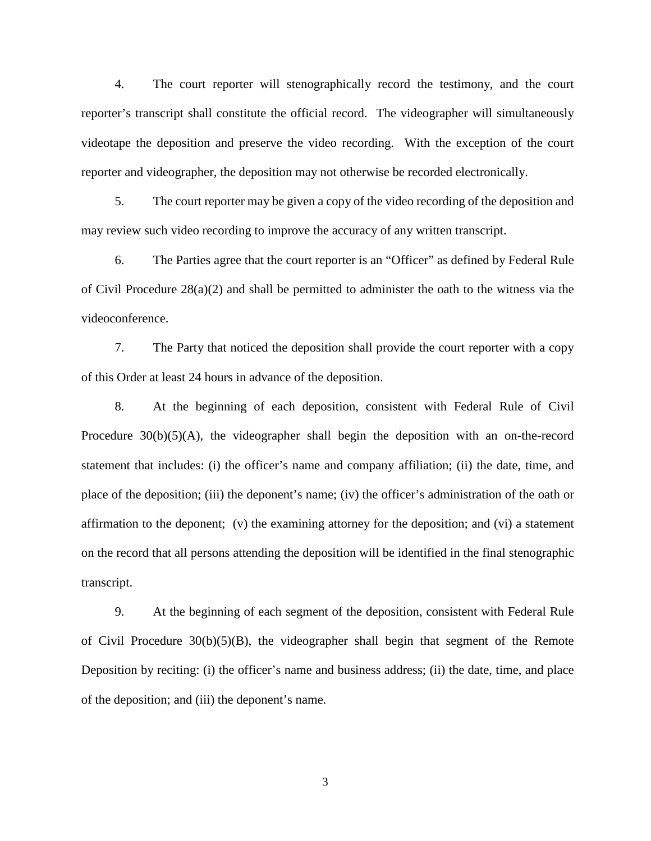4. The court reporter will stenographically record the testimony, and the court reporter's transcript shall constitute the official record. The videographer will simultaneously videotape the deposition and preserve the video recording. With the exception of the court reporter and videographer, the deposition may not otherwise be recorded electronically.

5. The court reporter may be given a copy of the video recording of the deposition and may review such video recording to improve the accuracy of any written transcript.

6. The Parties agree that the court reporter is an "Officer" as defined by Federal Rule of Civil Procedure  $28(a)(2)$  and shall be permitted to administer the oath to the witness via the videoconference.

7. The Party that noticed the deposition shall provide the court reporter with a copy of this Order at least 24 hours in advance of the deposition.

8. At the beginning of each deposition, consistent with Federal Rule of Civil Procedure 30(b)(5)(A), the videographer shall begin the deposition with an on-the-record statement that includes: (i) the officer's name and company affiliation; (ii) the date, time, and place of the deposition; (iii) the deponent's name; (iv) the officer's administration of the oath or affirmation to the deponent; (v) the examining attorney for the deposition; and (vi) a statement on the record that all persons attending the deposition will be identified in the final stenographic transcript.

9. At the beginning of each segment of the deposition, consistent with Federal Rule of Civil Procedure  $30(b)(5)(B)$ , the videographer shall begin that segment of the Remote Deposition by reciting: (i) the officer's name and business address; (ii) the date, time, and place of the deposition; and (iii) the deponent's name.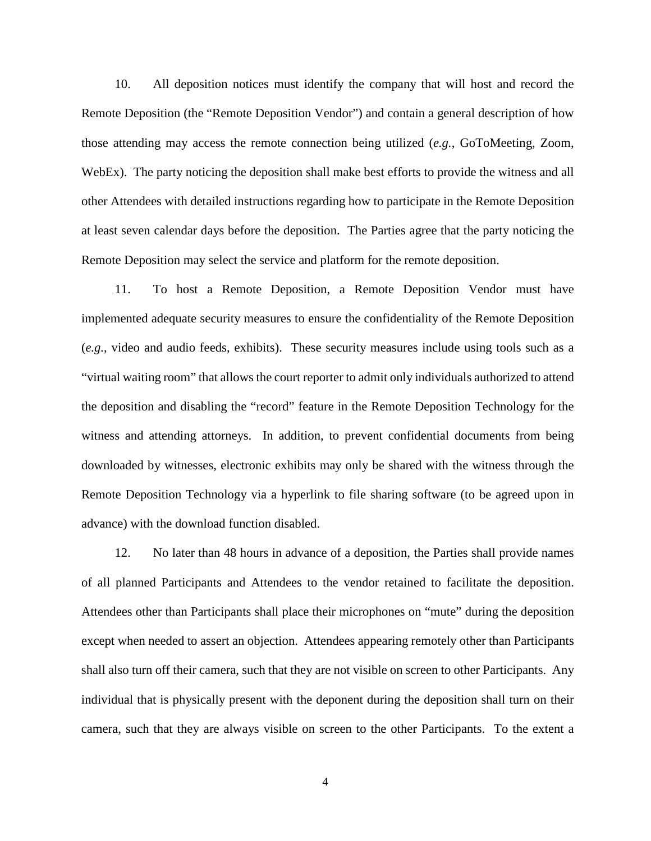10. All deposition notices must identify the company that will host and record the Remote Deposition (the "Remote Deposition Vendor") and contain a general description of how those attending may access the remote connection being utilized (*e.g.*, GoToMeeting, Zoom, WebEx). The party noticing the deposition shall make best efforts to provide the witness and all other Attendees with detailed instructions regarding how to participate in the Remote Deposition at least seven calendar days before the deposition. The Parties agree that the party noticing the Remote Deposition may select the service and platform for the remote deposition.

11. To host a Remote Deposition, a Remote Deposition Vendor must have implemented adequate security measures to ensure the confidentiality of the Remote Deposition (*e.g.*, video and audio feeds, exhibits). These security measures include using tools such as a "virtual waiting room" that allows the court reporter to admit only individuals authorized to attend the deposition and disabling the "record" feature in the Remote Deposition Technology for the witness and attending attorneys. In addition, to prevent confidential documents from being downloaded by witnesses, electronic exhibits may only be shared with the witness through the Remote Deposition Technology via a hyperlink to file sharing software (to be agreed upon in advance) with the download function disabled.

12. No later than 48 hours in advance of a deposition, the Parties shall provide names of all planned Participants and Attendees to the vendor retained to facilitate the deposition. Attendees other than Participants shall place their microphones on "mute" during the deposition except when needed to assert an objection. Attendees appearing remotely other than Participants shall also turn off their camera, such that they are not visible on screen to other Participants. Any individual that is physically present with the deponent during the deposition shall turn on their camera, such that they are always visible on screen to the other Participants. To the extent a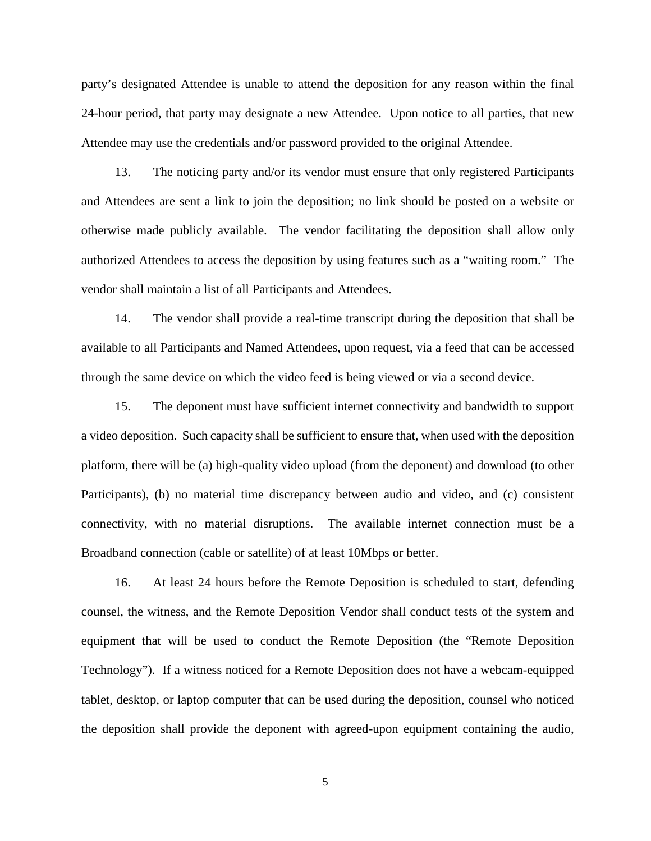party's designated Attendee is unable to attend the deposition for any reason within the final 24-hour period, that party may designate a new Attendee. Upon notice to all parties, that new Attendee may use the credentials and/or password provided to the original Attendee.

13. The noticing party and/or its vendor must ensure that only registered Participants and Attendees are sent a link to join the deposition; no link should be posted on a website or otherwise made publicly available. The vendor facilitating the deposition shall allow only authorized Attendees to access the deposition by using features such as a "waiting room." The vendor shall maintain a list of all Participants and Attendees.

14. The vendor shall provide a real-time transcript during the deposition that shall be available to all Participants and Named Attendees, upon request, via a feed that can be accessed through the same device on which the video feed is being viewed or via a second device.

15. The deponent must have sufficient internet connectivity and bandwidth to support a video deposition. Such capacity shall be sufficient to ensure that, when used with the deposition platform, there will be (a) high-quality video upload (from the deponent) and download (to other Participants), (b) no material time discrepancy between audio and video, and (c) consistent connectivity, with no material disruptions. The available internet connection must be a Broadband connection (cable or satellite) of at least 10Mbps or better.

16. At least 24 hours before the Remote Deposition is scheduled to start, defending counsel, the witness, and the Remote Deposition Vendor shall conduct tests of the system and equipment that will be used to conduct the Remote Deposition (the "Remote Deposition Technology"). If a witness noticed for a Remote Deposition does not have a webcam-equipped tablet, desktop, or laptop computer that can be used during the deposition, counsel who noticed the deposition shall provide the deponent with agreed-upon equipment containing the audio,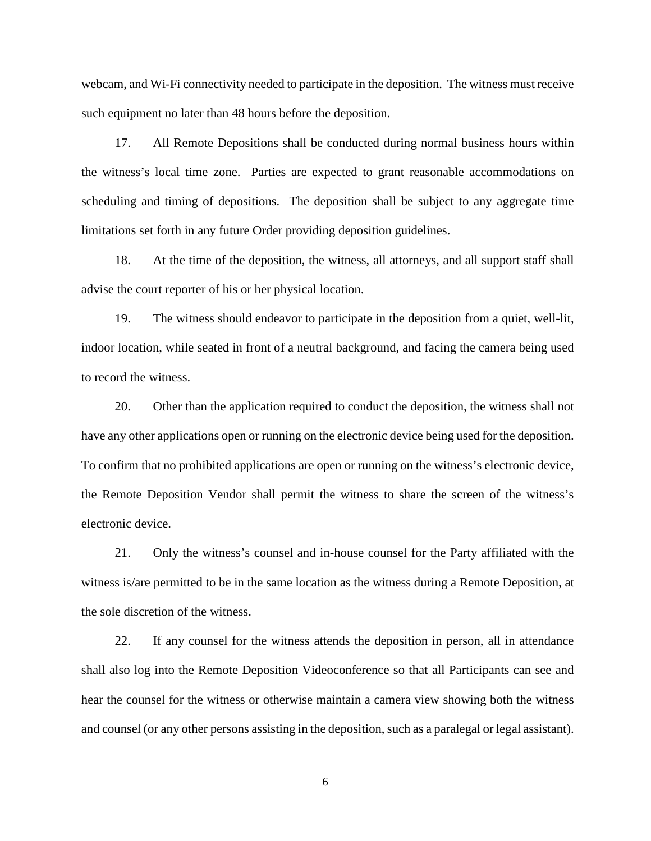webcam, and Wi-Fi connectivity needed to participate in the deposition. The witness must receive such equipment no later than 48 hours before the deposition.

17. All Remote Depositions shall be conducted during normal business hours within the witness's local time zone. Parties are expected to grant reasonable accommodations on scheduling and timing of depositions. The deposition shall be subject to any aggregate time limitations set forth in any future Order providing deposition guidelines.

18. At the time of the deposition, the witness, all attorneys, and all support staff shall advise the court reporter of his or her physical location.

19. The witness should endeavor to participate in the deposition from a quiet, well-lit, indoor location, while seated in front of a neutral background, and facing the camera being used to record the witness.

20. Other than the application required to conduct the deposition, the witness shall not have any other applications open or running on the electronic device being used for the deposition. To confirm that no prohibited applications are open or running on the witness's electronic device, the Remote Deposition Vendor shall permit the witness to share the screen of the witness's electronic device.

21. Only the witness's counsel and in-house counsel for the Party affiliated with the witness is/are permitted to be in the same location as the witness during a Remote Deposition, at the sole discretion of the witness.

22. If any counsel for the witness attends the deposition in person, all in attendance shall also log into the Remote Deposition Videoconference so that all Participants can see and hear the counsel for the witness or otherwise maintain a camera view showing both the witness and counsel (or any other persons assisting in the deposition, such as a paralegal or legal assistant).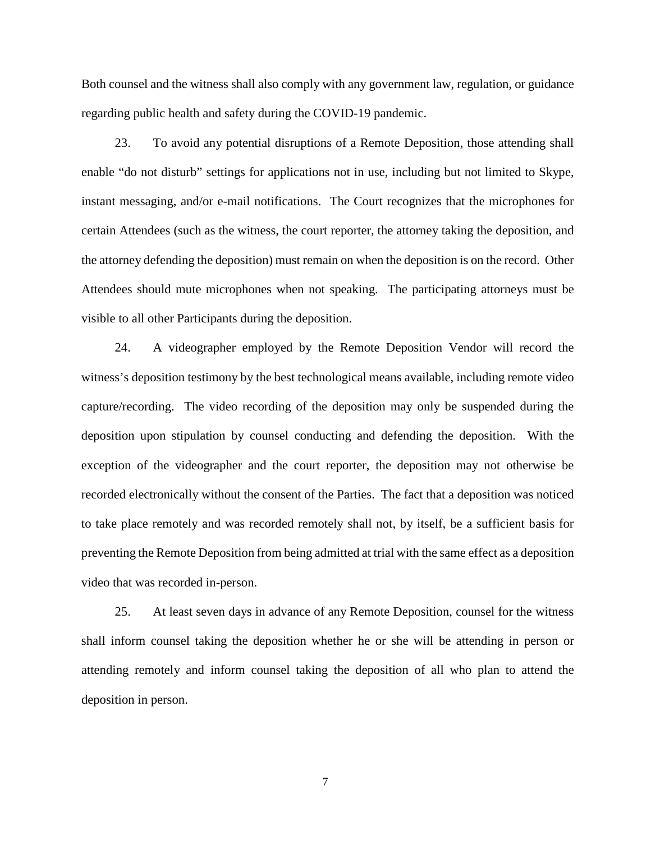Both counsel and the witness shall also comply with any government law, regulation, or guidance regarding public health and safety during the COVID-19 pandemic.

23. To avoid any potential disruptions of a Remote Deposition, those attending shall enable "do not disturb" settings for applications not in use, including but not limited to Skype, instant messaging, and/or e-mail notifications. The Court recognizes that the microphones for certain Attendees (such as the witness, the court reporter, the attorney taking the deposition, and the attorney defending the deposition) must remain on when the deposition is on the record. Other Attendees should mute microphones when not speaking. The participating attorneys must be visible to all other Participants during the deposition.

24. A videographer employed by the Remote Deposition Vendor will record the witness's deposition testimony by the best technological means available, including remote video capture/recording. The video recording of the deposition may only be suspended during the deposition upon stipulation by counsel conducting and defending the deposition. With the exception of the videographer and the court reporter, the deposition may not otherwise be recorded electronically without the consent of the Parties. The fact that a deposition was noticed to take place remotely and was recorded remotely shall not, by itself, be a sufficient basis for preventing the Remote Deposition from being admitted at trial with the same effect as a deposition video that was recorded in-person.

25. At least seven days in advance of any Remote Deposition, counsel for the witness shall inform counsel taking the deposition whether he or she will be attending in person or attending remotely and inform counsel taking the deposition of all who plan to attend the deposition in person.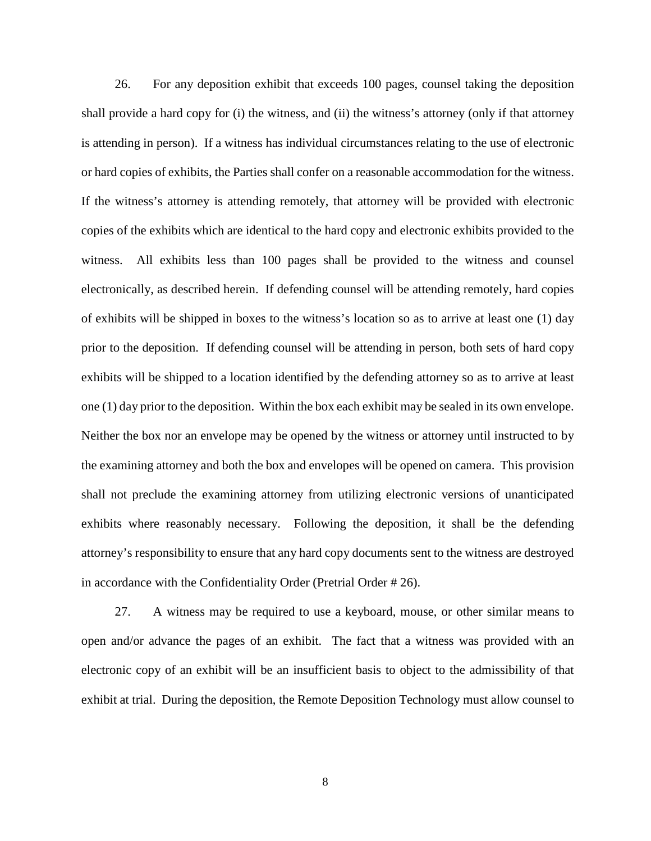26. For any deposition exhibit that exceeds 100 pages, counsel taking the deposition shall provide a hard copy for (i) the witness, and (ii) the witness's attorney (only if that attorney is attending in person). If a witness has individual circumstances relating to the use of electronic or hard copies of exhibits, the Parties shall confer on a reasonable accommodation for the witness. If the witness's attorney is attending remotely, that attorney will be provided with electronic copies of the exhibits which are identical to the hard copy and electronic exhibits provided to the witness. All exhibits less than 100 pages shall be provided to the witness and counsel electronically, as described herein. If defending counsel will be attending remotely, hard copies of exhibits will be shipped in boxes to the witness's location so as to arrive at least one (1) day prior to the deposition. If defending counsel will be attending in person, both sets of hard copy exhibits will be shipped to a location identified by the defending attorney so as to arrive at least one (1) day prior to the deposition. Within the box each exhibit may be sealed in its own envelope. Neither the box nor an envelope may be opened by the witness or attorney until instructed to by the examining attorney and both the box and envelopes will be opened on camera. This provision shall not preclude the examining attorney from utilizing electronic versions of unanticipated exhibits where reasonably necessary. Following the deposition, it shall be the defending attorney's responsibility to ensure that any hard copy documents sent to the witness are destroyed in accordance with the Confidentiality Order (Pretrial Order # 26).

27. A witness may be required to use a keyboard, mouse, or other similar means to open and/or advance the pages of an exhibit. The fact that a witness was provided with an electronic copy of an exhibit will be an insufficient basis to object to the admissibility of that exhibit at trial. During the deposition, the Remote Deposition Technology must allow counsel to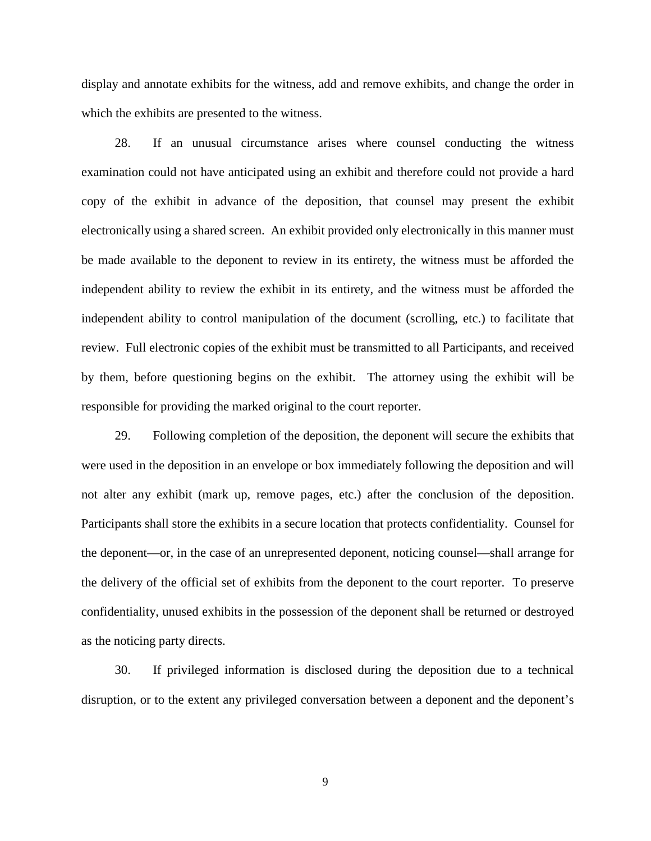display and annotate exhibits for the witness, add and remove exhibits, and change the order in which the exhibits are presented to the witness.

28. If an unusual circumstance arises where counsel conducting the witness examination could not have anticipated using an exhibit and therefore could not provide a hard copy of the exhibit in advance of the deposition, that counsel may present the exhibit electronically using a shared screen. An exhibit provided only electronically in this manner must be made available to the deponent to review in its entirety, the witness must be afforded the independent ability to review the exhibit in its entirety, and the witness must be afforded the independent ability to control manipulation of the document (scrolling, etc.) to facilitate that review. Full electronic copies of the exhibit must be transmitted to all Participants, and received by them, before questioning begins on the exhibit. The attorney using the exhibit will be responsible for providing the marked original to the court reporter.

29. Following completion of the deposition, the deponent will secure the exhibits that were used in the deposition in an envelope or box immediately following the deposition and will not alter any exhibit (mark up, remove pages, etc.) after the conclusion of the deposition. Participants shall store the exhibits in a secure location that protects confidentiality. Counsel for the deponent—or, in the case of an unrepresented deponent, noticing counsel—shall arrange for the delivery of the official set of exhibits from the deponent to the court reporter. To preserve confidentiality, unused exhibits in the possession of the deponent shall be returned or destroyed as the noticing party directs.

30. If privileged information is disclosed during the deposition due to a technical disruption, or to the extent any privileged conversation between a deponent and the deponent's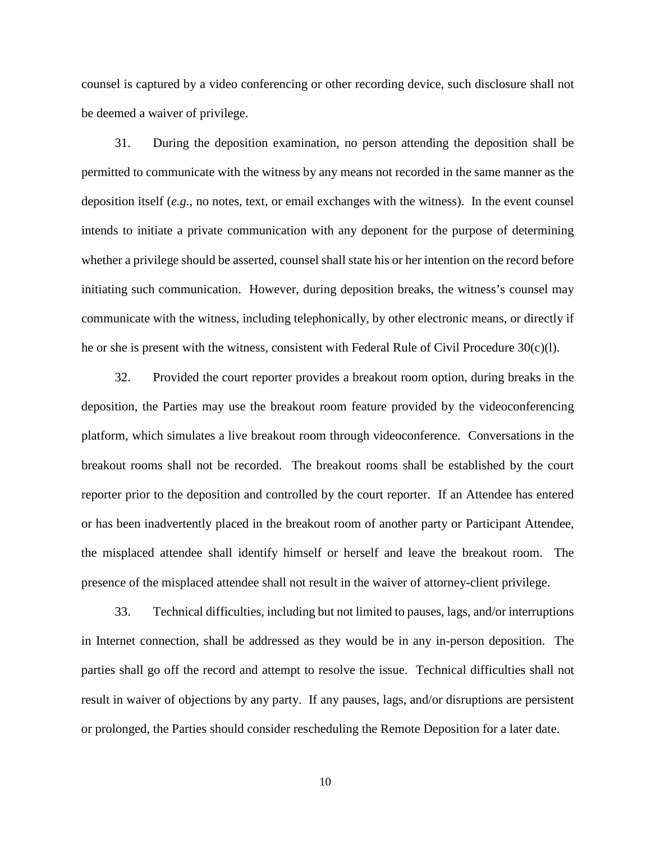counsel is captured by a video conferencing or other recording device, such disclosure shall not be deemed a waiver of privilege.

31. During the deposition examination, no person attending the deposition shall be permitted to communicate with the witness by any means not recorded in the same manner as the deposition itself (*e.g.*, no notes, text, or email exchanges with the witness). In the event counsel intends to initiate a private communication with any deponent for the purpose of determining whether a privilege should be asserted, counsel shall state his or her intention on the record before initiating such communication. However, during deposition breaks, the witness's counsel may communicate with the witness, including telephonically, by other electronic means, or directly if he or she is present with the witness, consistent with Federal Rule of Civil Procedure  $30(c)(l)$ .

32. Provided the court reporter provides a breakout room option, during breaks in the deposition, the Parties may use the breakout room feature provided by the videoconferencing platform, which simulates a live breakout room through videoconference. Conversations in the breakout rooms shall not be recorded. The breakout rooms shall be established by the court reporter prior to the deposition and controlled by the court reporter. If an Attendee has entered or has been inadvertently placed in the breakout room of another party or Participant Attendee, the misplaced attendee shall identify himself or herself and leave the breakout room. The presence of the misplaced attendee shall not result in the waiver of attorney-client privilege.

33. Technical difficulties, including but not limited to pauses, lags, and/or interruptions in Internet connection, shall be addressed as they would be in any in-person deposition. The parties shall go off the record and attempt to resolve the issue. Technical difficulties shall not result in waiver of objections by any party. If any pauses, lags, and/or disruptions are persistent or prolonged, the Parties should consider rescheduling the Remote Deposition for a later date.